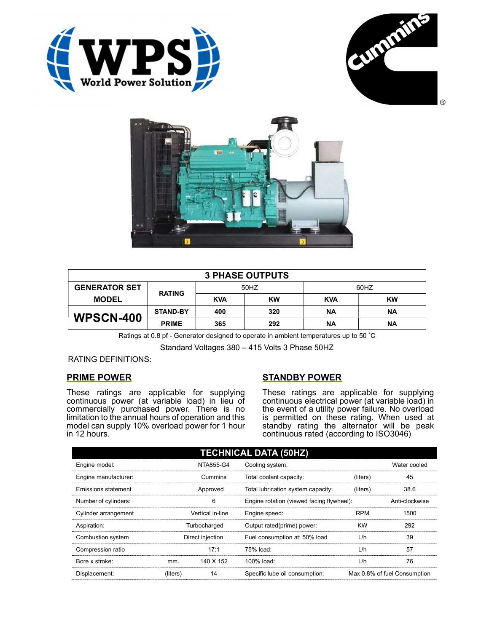





| <b>3 PHASE OUTPUTS</b> |                 |            |           |            |           |  |
|------------------------|-----------------|------------|-----------|------------|-----------|--|
| <b>GENERATOR SET</b>   | <b>RATING</b>   | 50HZ       |           | 60HZ       |           |  |
| <b>MODEL</b>           |                 | <b>KVA</b> | <b>KW</b> | <b>KVA</b> | <b>KW</b> |  |
| <b>WPSCN-400</b>       | <b>STAND-BY</b> | 400        | 320       | <b>NA</b>  | ΝA        |  |
|                        | <b>PRIME</b>    | 365        | 292       | ΝA         | ΝA        |  |

Ratings at 0.8 pf - Generator designed to operate in ambient temperatures up to 50 °C

Standard Voltages 380 – 415 Volts 3 Phase 50HZ

RATING DEFINITIONS:

## PRIME POWER

These ratings are applicable for supplying continuous power (at variable load) in lieu of commercially purchased power. There is no limitation to the annual hours of operation and this model can supply 10% overload power for 1 hour in 12 hours.

## STANDBY POWER

These ratings are applicable for supplying continuous electrical power (at variable load) in the event of a utility power failure. No overload is permitted on these rating. When used at standby rating the alternator will be peak continuous rated (according to ISO3046)

| <b>TECHNICAL DATA (50HZ)</b> |                  |           |                                           |            |                              |  |
|------------------------------|------------------|-----------|-------------------------------------------|------------|------------------------------|--|
| Engine model:                |                  | NTA855-G4 | Cooling system:                           |            | Water cooled                 |  |
| Engine manufacturer:         | Cummins          |           | Total coolant capacity:                   | (liters)   | 45                           |  |
| Emissions statement          | Approved         |           | Total lubrication system capacity:        | (liters)   | 38.6                         |  |
| Number of cylinders:         | 6                |           | Engine rotation (viewed facing flywheel): |            | Anti-clockwise               |  |
| Cylinder arrangement         | Vertical in-line |           | Engine speed:                             | <b>RPM</b> | 1500                         |  |
| Aspiration:                  | Turbocharged     |           | Output rated(prime) power:                | <b>KW</b>  | 292                          |  |
| Combustion system            | Direct injection |           | Fuel consumption at: 50% load             | L/h        | 39                           |  |
| Compression ratio            |                  | 17:1      | 75% load:                                 | L/h        | 57                           |  |
| Bore x stroke:               | mm.              | 140 X 152 | 100% load:                                | L/h        | 76                           |  |
| Displacement:                | (liters)         | 14        | Specific lube oil consumption:            |            | Max 0.8% of fuel Consumption |  |